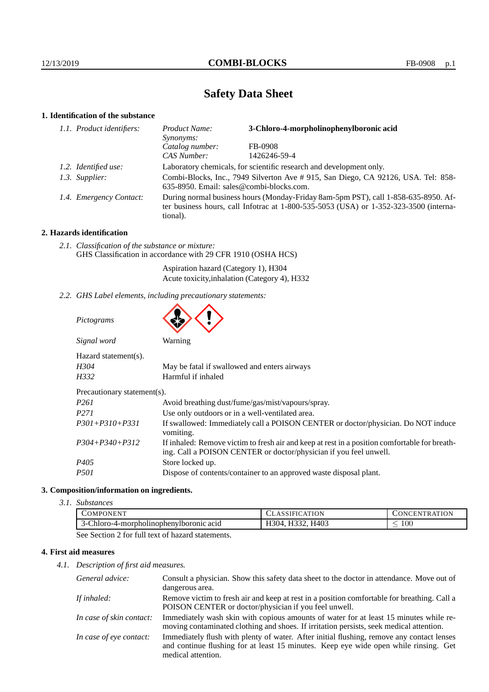# **Safety Data Sheet**

# **1. Identification of the substance**

| 1.1. Product identifiers: | Product Name:<br>Synonyms:                                                                                                                                                                  | 3-Chloro-4-morpholinophenylboronic acid |
|---------------------------|---------------------------------------------------------------------------------------------------------------------------------------------------------------------------------------------|-----------------------------------------|
|                           | Catalog number:                                                                                                                                                                             | FB-0908                                 |
|                           | CAS Number:                                                                                                                                                                                 | 1426246-59-4                            |
| 1.2. Identified use:      | Laboratory chemicals, for scientific research and development only.                                                                                                                         |                                         |
| 1.3. Supplier:            | Combi-Blocks, Inc., 7949 Silverton Ave # 915, San Diego, CA 92126, USA. Tel: 858-<br>635-8950. Email: sales@combi-blocks.com.                                                               |                                         |
| 1.4. Emergency Contact:   | During normal business hours (Monday-Friday 8am-5pm PST), call 1-858-635-8950. Af-<br>ter business hours, call Infotrac at $1-800-535-5053$ (USA) or $1-352-323-3500$ (interna-<br>tional). |                                         |

# **2. Hazards identification**

*2.1. Classification of the substance or mixture:* GHS Classification in accordance with 29 CFR 1910 (OSHA HCS)

> Aspiration hazard (Category 1), H304 Acute toxicity,inhalation (Category 4), H332

*2.2. GHS Label elements, including precautionary statements:*

| Pictograms |
|------------|
|------------|



| Signal word                 | Warning                                                                                                                                                            |  |  |
|-----------------------------|--------------------------------------------------------------------------------------------------------------------------------------------------------------------|--|--|
| Hazard statement(s).        |                                                                                                                                                                    |  |  |
| H304                        | May be fatal if swallowed and enters airways                                                                                                                       |  |  |
| H332                        | Harmful if inhaled                                                                                                                                                 |  |  |
| Precautionary statement(s). |                                                                                                                                                                    |  |  |
| P <sub>261</sub>            | Avoid breathing dust/fume/gas/mist/vapours/spray.                                                                                                                  |  |  |
| P <sub>271</sub>            | Use only outdoors or in a well-ventilated area.                                                                                                                    |  |  |
| $P301 + P310 + P331$        | If swallowed: Immediately call a POISON CENTER or doctor/physician. Do NOT induce<br>vomiting.                                                                     |  |  |
| $P304 + P340 + P312$        | If inhaled: Remove victim to fresh air and keep at rest in a position comfortable for breath-<br>ing. Call a POISON CENTER or doctor/physician if you feel unwell. |  |  |
| P <sub>405</sub>            | Store locked up.                                                                                                                                                   |  |  |
| <i>P501</i>                 | Dispose of contents/container to an approved waste disposal plant.                                                                                                 |  |  |

## **3. Composition/information on ingredients.**

*3.1. Substances*

| COMPONENT.                                                                                                                                                                                   | 1 H L I<br>$\Delta$      | <b>ONCENTRATION</b> |
|----------------------------------------------------------------------------------------------------------------------------------------------------------------------------------------------|--------------------------|---------------------|
| -Chloro-4-morpholinophenylboronic acid                                                                                                                                                       | H332.<br>. H403<br>H304. | LOO                 |
| $\mathcal{Q}_{\text{max}}$ $\mathcal{Q}_{\text{max}}$ $\mathcal{Q}_{\text{max}}$ $\mathcal{Q}_{\text{max}}$ $\mathcal{Q}_{\text{max}}$ $\mathcal{Q}_{\text{max}}$ $\mathcal{Q}_{\text{max}}$ |                          |                     |

See Section 2 for full text of hazard statements.

# **4. First aid measures**

*4.1. Description of first aid measures.*

| General advice:          | Consult a physician. Show this safety data sheet to the doctor in attendance. Move out of<br>dangerous area.                                                                                            |
|--------------------------|---------------------------------------------------------------------------------------------------------------------------------------------------------------------------------------------------------|
| If inhaled:              | Remove victim to fresh air and keep at rest in a position comfortable for breathing. Call a<br>POISON CENTER or doctor/physician if you feel unwell.                                                    |
| In case of skin contact: | Immediately wash skin with copious amounts of water for at least 15 minutes while re-<br>moving contaminated clothing and shoes. If irritation persists, seek medical attention.                        |
| In case of eye contact:  | Immediately flush with plenty of water. After initial flushing, remove any contact lenses<br>and continue flushing for at least 15 minutes. Keep eye wide open while rinsing. Get<br>medical attention. |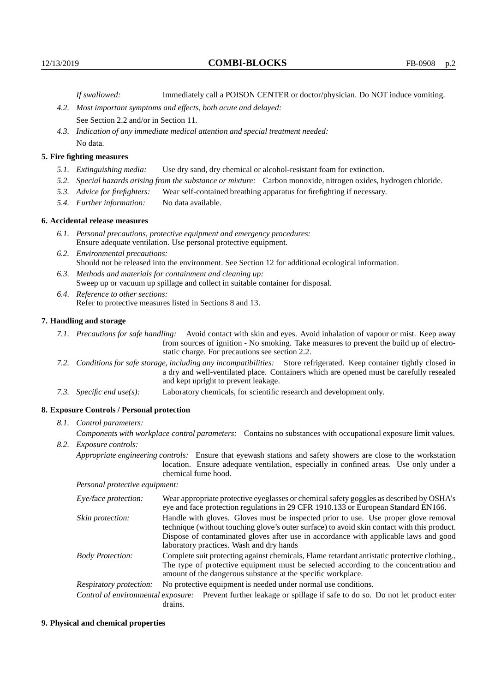*If swallowed:* Immediately call a POISON CENTER or doctor/physician. Do NOT induce vomiting.

- *4.2. Most important symptoms and effects, both acute and delayed:* See Section 2.2 and/or in Section 11.
- *4.3. Indication of any immediate medical attention and special treatment needed:* No data.

### **5. Fire fighting measures**

- *5.1. Extinguishing media:* Use dry sand, dry chemical or alcohol-resistant foam for extinction.
- *5.2. Special hazards arising from the substance or mixture:* Carbon monoxide, nitrogen oxides, hydrogen chloride.
- *5.3. Advice for firefighters:* Wear self-contained breathing apparatus for firefighting if necessary.
- *5.4. Further information:* No data available.

## **6. Accidental release measures**

- *6.1. Personal precautions, protective equipment and emergency procedures:* Ensure adequate ventilation. Use personal protective equipment.
- *6.2. Environmental precautions:* Should not be released into the environment. See Section 12 for additional ecological information.
- *6.3. Methods and materials for containment and cleaning up:* Sweep up or vacuum up spillage and collect in suitable container for disposal.
- *6.4. Reference to other sections:* Refer to protective measures listed in Sections 8 and 13.

# **7. Handling and storage**

- *7.1. Precautions for safe handling:* Avoid contact with skin and eyes. Avoid inhalation of vapour or mist. Keep away from sources of ignition - No smoking. Take measures to prevent the build up of electrostatic charge. For precautions see section 2.2.
- *7.2. Conditions for safe storage, including any incompatibilities:* Store refrigerated. Keep container tightly closed in a dry and well-ventilated place. Containers which are opened must be carefully resealed and kept upright to prevent leakage.
- *7.3. Specific end use(s):* Laboratory chemicals, for scientific research and development only.

#### **8. Exposure Controls / Personal protection**

## *8.1. Control parameters:*

*Components with workplace control parameters:* Contains no substances with occupational exposure limit values. *8.2. Exposure controls:*

*Appropriate engineering controls:* Ensure that eyewash stations and safety showers are close to the workstation location. Ensure adequate ventilation, especially in confined areas. Use only under a chemical fume hood.

*Personal protective equipment:*

| Eye/face protection:    | Wear appropriate protective eyeglasses or chemical safety goggles as described by OSHA's<br>eye and face protection regulations in 29 CFR 1910.133 or European Standard EN166.                                                                                                                                         |  |
|-------------------------|------------------------------------------------------------------------------------------------------------------------------------------------------------------------------------------------------------------------------------------------------------------------------------------------------------------------|--|
| Skin protection:        | Handle with gloves. Gloves must be inspected prior to use. Use proper glove removal<br>technique (without touching glove's outer surface) to avoid skin contact with this product.<br>Dispose of contaminated gloves after use in accordance with applicable laws and good<br>laboratory practices. Wash and dry hands |  |
| <b>Body Protection:</b> | Complete suit protecting against chemicals, Flame retardant antistatic protective clothing.<br>The type of protective equipment must be selected according to the concentration and<br>amount of the dangerous substance at the specific workplace.                                                                    |  |
| Respiratory protection: | No protective equipment is needed under normal use conditions.                                                                                                                                                                                                                                                         |  |
|                         | Control of environmental exposure: Prevent further leakage or spillage if safe to do so. Do not let product enter<br>drains.                                                                                                                                                                                           |  |

#### **9. Physical and chemical properties**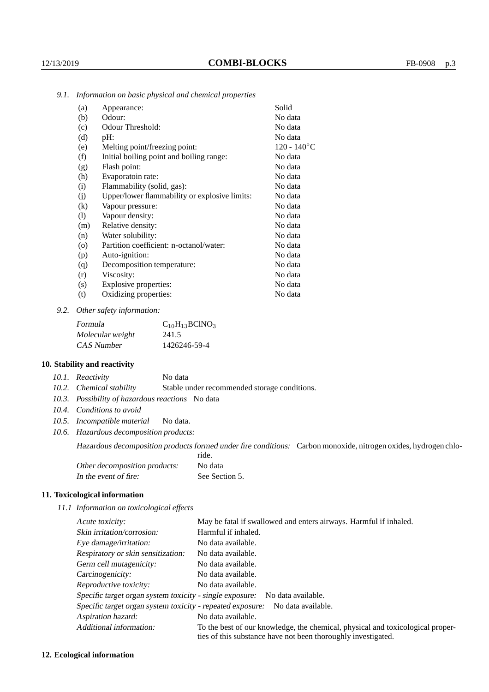| Appearance:                                   | Solid          |
|-----------------------------------------------|----------------|
| Odour:                                        | No data        |
| Odour Threshold:                              | No data        |
| pH:                                           | No data        |
| Melting point/freezing point:                 | $120 - 140$ °C |
| Initial boiling point and boiling range:      | No data        |
| Flash point:                                  | No data        |
| Evaporatoin rate:                             | No data        |
| Flammability (solid, gas):                    | No data        |
| Upper/lower flammability or explosive limits: | No data        |
| Vapour pressure:                              | No data        |
| Vapour density:                               | No data        |
| Relative density:                             | No data        |
| Water solubility:                             | No data        |
| Partition coefficient: n-octanol/water:       | No data        |
| Auto-ignition:                                | No data        |
| Decomposition temperature:                    | No data        |
| Viscosity:                                    | No data        |
| Explosive properties:                         | No data        |
| Oxidizing properties:                         | No data        |
|                                               |                |

*9.1. Information on basic physical and chemical properties*

*9.2. Other safety information:*

| Formula          | $C_{10}H_{13}BCINO_3$ |
|------------------|-----------------------|
| Molecular weight | 241.5                 |
| CAS Number       | 1426246-59-4          |

# **10. Stability and reactivity**

*10.1. Reactivity* No data

*10.2. Chemical stability* Stable under recommended storage conditions.

- *10.3. Possibility of hazardous reactions* No data
- *10.4. Conditions to avoid*
- *10.5. Incompatible material* No data.
- *10.6. Hazardous decomposition products:*

Hazardous decomposition products formed under fire conditions: Carbon monoxide, nitrogen oxides, hydrogen chloride.

| Other decomposition products: | No data        |
|-------------------------------|----------------|
| In the event of fire:         | See Section 5. |

## **11. Toxicological information**

*11.1 Information on toxicological effects*

| Acute toxicity:                                                                  | May be fatal if swallowed and enters airways. Harmful if inhaled.                                                                               |  |  |
|----------------------------------------------------------------------------------|-------------------------------------------------------------------------------------------------------------------------------------------------|--|--|
| Skin irritation/corrosion:                                                       | Harmful if inhaled.                                                                                                                             |  |  |
| Eye damage/irritation:                                                           | No data available.                                                                                                                              |  |  |
| Respiratory or skin sensitization:                                               | No data available.                                                                                                                              |  |  |
| Germ cell mutagenicity:                                                          | No data available.                                                                                                                              |  |  |
| Carcinogenicity:                                                                 | No data available.                                                                                                                              |  |  |
| Reproductive toxicity:                                                           | No data available.                                                                                                                              |  |  |
| Specific target organ system toxicity - single exposure:<br>No data available.   |                                                                                                                                                 |  |  |
| Specific target organ system toxicity - repeated exposure:<br>No data available. |                                                                                                                                                 |  |  |
| Aspiration hazard:                                                               | No data available.                                                                                                                              |  |  |
| Additional information:                                                          | To the best of our knowledge, the chemical, physical and toxicological proper-<br>ties of this substance have not been thoroughly investigated. |  |  |